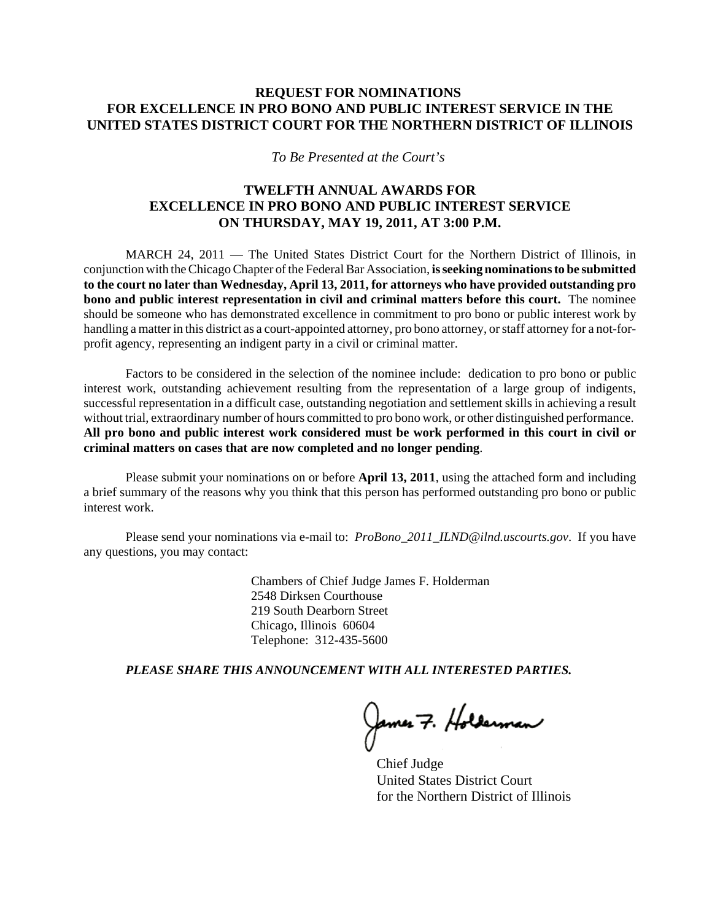## **REQUEST FOR NOMINATIONS FOR EXCELLENCE IN PRO BONO AND PUBLIC INTEREST SERVICE IN THE UNITED STATES DISTRICT COURT FOR THE NORTHERN DISTRICT OF ILLINOIS**

*To Be Presented at the Court's* 

## **TWELFTH ANNUAL AWARDS FOR EXCELLENCE IN PRO BONO AND PUBLIC INTEREST SERVICE ON THURSDAY, MAY 19, 2011, AT 3:00 P.M.**

MARCH 24, 2011 — The United States District Court for the Northern District of Illinois, in conjunction with the Chicago Chapter of the Federal Bar Association, **is seeking nominations to be submitted to the court no later than Wednesday, April 13, 2011, for attorneys who have provided outstanding pro bono and public interest representation in civil and criminal matters before this court.** The nominee should be someone who has demonstrated excellence in commitment to pro bono or public interest work by handling a matter in this district as a court-appointed attorney, pro bono attorney, or staff attorney for a not-forprofit agency, representing an indigent party in a civil or criminal matter.

Factors to be considered in the selection of the nominee include: dedication to pro bono or public interest work, outstanding achievement resulting from the representation of a large group of indigents, successful representation in a difficult case, outstanding negotiation and settlement skills in achieving a result without trial, extraordinary number of hours committed to pro bono work, or other distinguished performance. **All pro bono and public interest work considered must be work performed in this court in civil or criminal matters on cases that are now completed and no longer pending**.

Please submit your nominations on or before **April 13, 2011**, using the attached form and including a brief summary of the reasons why you think that this person has performed outstanding pro bono or public interest work.

Please send your nominations via e-mail to: *ProBono\_2011\_ILND@ilnd.uscourts.gov*. If you have any questions, you may contact:

> Chambers of Chief Judge James F. Holderman 2548 Dirksen Courthouse 219 South Dearborn Street Chicago, Illinois 60604 Telephone: 312-435-5600

*PLEASE SHARE THIS ANNOUNCEMENT WITH ALL INTERESTED PARTIES.*

James 7. Holderman

Chief Judge United States District Court for the Northern District of Illinois